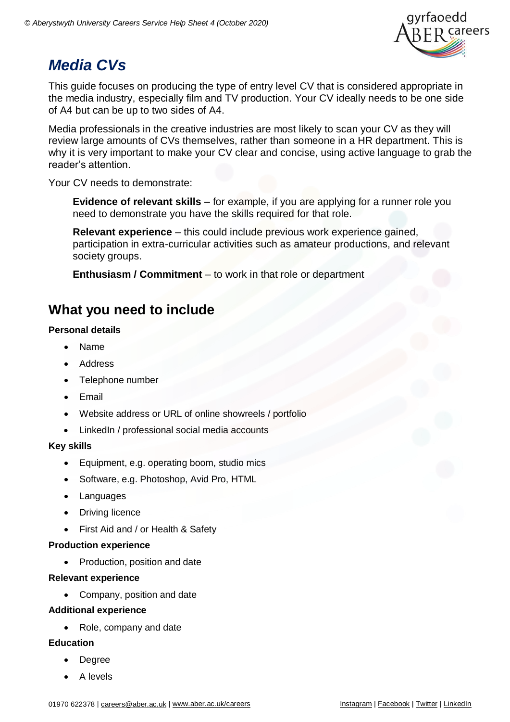

# *Media CVs*

This guide focuses on producing the type of entry level CV that is considered appropriate in the media industry, especially film and TV production. Your CV ideally needs to be one side of A4 but can be up to two sides of A4.

Media professionals in the creative industries are most likely to scan your CV as they will review large amounts of CVs themselves, rather than someone in a HR department. This is why it is very important to make your CV clear and concise, using active language to grab the reader's attention.

Your CV needs to demonstrate:

**Evidence of relevant skills** – for example, if you are applying for a runner role you need to demonstrate you have the skills required for that role.

**Relevant experience** – this could include previous work experience gained, participation in extra-curricular activities such as amateur productions, and relevant society groups.

**Enthusiasm / Commitment** – to work in that role or department

## **What you need to include**

#### **Personal details**

- Name
- Address
- Telephone number
- Email
- Website address or URL of online showreels / portfolio
- LinkedIn / professional social media accounts

#### **Key skills**

- Equipment, e.g. operating boom, studio mics
- Software, e.g. Photoshop, Avid Pro, HTML
- Languages
- Driving licence
- First Aid and / or Health & Safety

#### **Production experience**

• Production, position and date

#### **Relevant experience**

• Company, position and date

#### **Additional experience**

• Role, company and date

#### **Education**

- Degree
- A levels